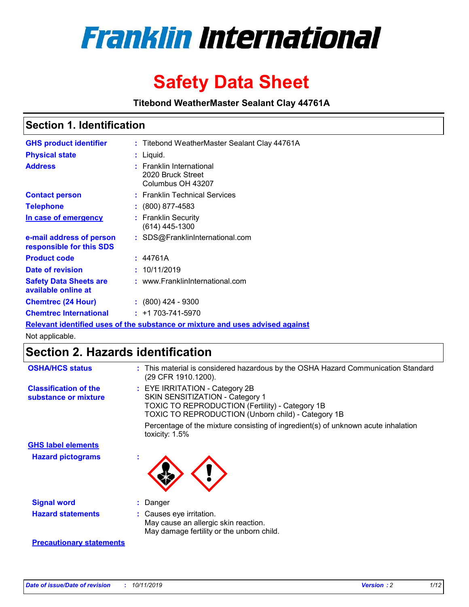

# **Safety Data Sheet**

**Titebond WeatherMaster Sealant Clay 44761A**

### **Section 1. Identification**

| <b>GHS product identifier</b>                        | : Titebond WeatherMaster Sealant Clay 44761A                                  |
|------------------------------------------------------|-------------------------------------------------------------------------------|
| <b>Physical state</b>                                | : Liquid.                                                                     |
| <b>Address</b>                                       | : Franklin International<br>2020 Bruck Street<br>Columbus OH 43207            |
| <b>Contact person</b>                                | : Franklin Technical Services                                                 |
| <b>Telephone</b>                                     | $\colon$ (800) 877-4583                                                       |
| In case of emergency                                 | : Franklin Security<br>(614) 445-1300                                         |
| e-mail address of person<br>responsible for this SDS | : SDS@FranklinInternational.com                                               |
| <b>Product code</b>                                  | : 44761A                                                                      |
| Date of revision                                     | : 10/11/2019                                                                  |
| <b>Safety Data Sheets are</b><br>available online at | : www.FranklinInternational.com                                               |
| <b>Chemtrec (24 Hour)</b>                            | $\div$ (800) 424 - 9300                                                       |
| <b>Chemtrec International</b>                        | $: +1703 - 741 - 5970$                                                        |
|                                                      | Relevant identified uses of the substance or mixture and uses advised against |

Not applicable.

## **Section 2. Hazards identification**

| <b>OSHA/HCS status</b>                               | : This material is considered hazardous by the OSHA Hazard Communication Standard<br>(29 CFR 1910.1200).                                                                                 |
|------------------------------------------------------|------------------------------------------------------------------------------------------------------------------------------------------------------------------------------------------|
| <b>Classification of the</b><br>substance or mixture | : EYE IRRITATION - Category 2B<br>SKIN SENSITIZATION - Category 1<br><b>TOXIC TO REPRODUCTION (Fertility) - Category 1B</b><br><b>TOXIC TO REPRODUCTION (Unborn child) - Category 1B</b> |
|                                                      | Percentage of the mixture consisting of ingredient(s) of unknown acute inhalation<br>toxicity: $1.5\%$                                                                                   |
| <b>GHS label elements</b>                            |                                                                                                                                                                                          |
| <b>Hazard pictograms</b>                             |                                                                                                                                                                                          |
| <b>Signal word</b>                                   | : Danger                                                                                                                                                                                 |
| <b>Hazard statements</b>                             | : Causes eye irritation.<br>May cause an allergic skin reaction.<br>May damage fertility or the unborn child.                                                                            |
| <b>Precautionary statements</b>                      |                                                                                                                                                                                          |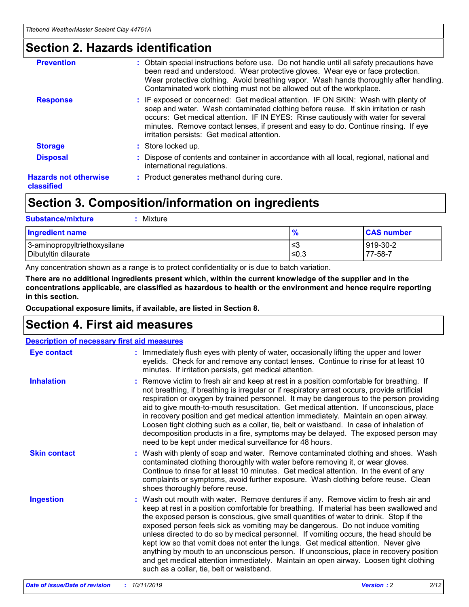### **Section 2. Hazards identification**

| <b>Prevention</b>                          | : Obtain special instructions before use. Do not handle until all safety precautions have<br>been read and understood. Wear protective gloves. Wear eye or face protection.<br>Wear protective clothing. Avoid breathing vapor. Wash hands thoroughly after handling.<br>Contaminated work clothing must not be allowed out of the workplace.                                                        |
|--------------------------------------------|------------------------------------------------------------------------------------------------------------------------------------------------------------------------------------------------------------------------------------------------------------------------------------------------------------------------------------------------------------------------------------------------------|
| <b>Response</b>                            | : IF exposed or concerned: Get medical attention. IF ON SKIN: Wash with plenty of<br>soap and water. Wash contaminated clothing before reuse. If skin irritation or rash<br>occurs: Get medical attention. IF IN EYES: Rinse cautiously with water for several<br>minutes. Remove contact lenses, if present and easy to do. Continue rinsing. If eye<br>irritation persists: Get medical attention. |
| <b>Storage</b>                             | : Store locked up.                                                                                                                                                                                                                                                                                                                                                                                   |
| <b>Disposal</b>                            | : Dispose of contents and container in accordance with all local, regional, national and<br>international regulations.                                                                                                                                                                                                                                                                               |
| <b>Hazards not otherwise</b><br>classified | : Product generates methanol during cure.                                                                                                                                                                                                                                                                                                                                                            |
|                                            |                                                                                                                                                                                                                                                                                                                                                                                                      |

### **Section 3. Composition/information on ingredients**

| <b>Substance/mixture</b><br>: Mixture                |               |                     |
|------------------------------------------------------|---------------|---------------------|
| Ingredient name                                      | $\frac{9}{6}$ | <b>CAS number</b>   |
| 3-aminopropyltriethoxysilane<br>Dibutyltin dilaurate | צ≥<br>≤0.3    | 919-30-2<br>77-58-7 |

Any concentration shown as a range is to protect confidentiality or is due to batch variation.

**There are no additional ingredients present which, within the current knowledge of the supplier and in the concentrations applicable, are classified as hazardous to health or the environment and hence require reporting in this section.**

**Occupational exposure limits, if available, are listed in Section 8.**

### **Section 4. First aid measures**

| <b>Description of necessary first aid measures</b> |                                                                                                                                                                                                                                                                                                                                                                                                                                                                                                                                                                                                                                                                                                                                                                           |  |  |  |
|----------------------------------------------------|---------------------------------------------------------------------------------------------------------------------------------------------------------------------------------------------------------------------------------------------------------------------------------------------------------------------------------------------------------------------------------------------------------------------------------------------------------------------------------------------------------------------------------------------------------------------------------------------------------------------------------------------------------------------------------------------------------------------------------------------------------------------------|--|--|--|
| <b>Eye contact</b>                                 | : Immediately flush eyes with plenty of water, occasionally lifting the upper and lower<br>eyelids. Check for and remove any contact lenses. Continue to rinse for at least 10<br>minutes. If irritation persists, get medical attention.                                                                                                                                                                                                                                                                                                                                                                                                                                                                                                                                 |  |  |  |
| <b>Inhalation</b>                                  | : Remove victim to fresh air and keep at rest in a position comfortable for breathing. If<br>not breathing, if breathing is irregular or if respiratory arrest occurs, provide artificial<br>respiration or oxygen by trained personnel. It may be dangerous to the person providing<br>aid to give mouth-to-mouth resuscitation. Get medical attention. If unconscious, place<br>in recovery position and get medical attention immediately. Maintain an open airway.<br>Loosen tight clothing such as a collar, tie, belt or waistband. In case of inhalation of<br>decomposition products in a fire, symptoms may be delayed. The exposed person may<br>need to be kept under medical surveillance for 48 hours.                                                       |  |  |  |
| <b>Skin contact</b>                                | : Wash with plenty of soap and water. Remove contaminated clothing and shoes. Wash<br>contaminated clothing thoroughly with water before removing it, or wear gloves.<br>Continue to rinse for at least 10 minutes. Get medical attention. In the event of any<br>complaints or symptoms, avoid further exposure. Wash clothing before reuse. Clean<br>shoes thoroughly before reuse.                                                                                                                                                                                                                                                                                                                                                                                     |  |  |  |
| <b>Ingestion</b>                                   | : Wash out mouth with water. Remove dentures if any. Remove victim to fresh air and<br>keep at rest in a position comfortable for breathing. If material has been swallowed and<br>the exposed person is conscious, give small quantities of water to drink. Stop if the<br>exposed person feels sick as vomiting may be dangerous. Do not induce vomiting<br>unless directed to do so by medical personnel. If vomiting occurs, the head should be<br>kept low so that vomit does not enter the lungs. Get medical attention. Never give<br>anything by mouth to an unconscious person. If unconscious, place in recovery position<br>and get medical attention immediately. Maintain an open airway. Loosen tight clothing<br>such as a collar, tie, belt or waistband. |  |  |  |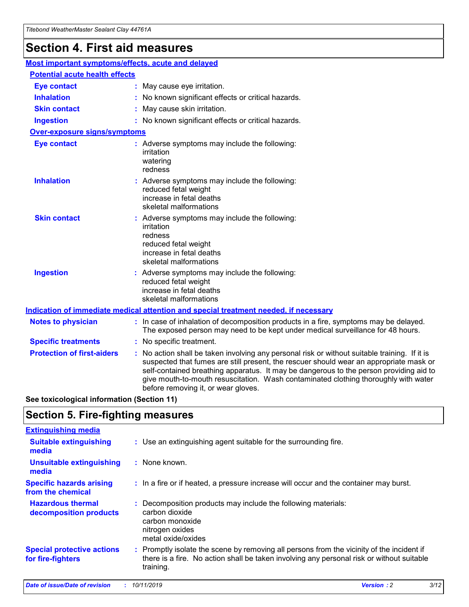## **Section 4. First aid measures**

| Most important symptoms/effects, acute and delayed |  |                                                                                                                                                                                                                                                                                                                                                                                                                 |  |  |
|----------------------------------------------------|--|-----------------------------------------------------------------------------------------------------------------------------------------------------------------------------------------------------------------------------------------------------------------------------------------------------------------------------------------------------------------------------------------------------------------|--|--|
| <b>Potential acute health effects</b>              |  |                                                                                                                                                                                                                                                                                                                                                                                                                 |  |  |
| <b>Eye contact</b>                                 |  | : May cause eye irritation.                                                                                                                                                                                                                                                                                                                                                                                     |  |  |
| <b>Inhalation</b>                                  |  | : No known significant effects or critical hazards.                                                                                                                                                                                                                                                                                                                                                             |  |  |
| <b>Skin contact</b>                                |  | : May cause skin irritation.                                                                                                                                                                                                                                                                                                                                                                                    |  |  |
| <b>Ingestion</b>                                   |  | : No known significant effects or critical hazards.                                                                                                                                                                                                                                                                                                                                                             |  |  |
| Over-exposure signs/symptoms                       |  |                                                                                                                                                                                                                                                                                                                                                                                                                 |  |  |
| <b>Eye contact</b>                                 |  | : Adverse symptoms may include the following:<br>irritation<br>watering<br>redness                                                                                                                                                                                                                                                                                                                              |  |  |
| <b>Inhalation</b>                                  |  | : Adverse symptoms may include the following:<br>reduced fetal weight<br>increase in fetal deaths<br>skeletal malformations                                                                                                                                                                                                                                                                                     |  |  |
| <b>Skin contact</b>                                |  | : Adverse symptoms may include the following:<br>irritation<br>redness<br>reduced fetal weight<br>increase in fetal deaths<br>skeletal malformations                                                                                                                                                                                                                                                            |  |  |
| <b>Ingestion</b>                                   |  | : Adverse symptoms may include the following:<br>reduced fetal weight<br>increase in fetal deaths<br>skeletal malformations                                                                                                                                                                                                                                                                                     |  |  |
|                                                    |  | <b>Indication of immediate medical attention and special treatment needed, if necessary</b>                                                                                                                                                                                                                                                                                                                     |  |  |
| <b>Notes to physician</b>                          |  | : In case of inhalation of decomposition products in a fire, symptoms may be delayed.<br>The exposed person may need to be kept under medical surveillance for 48 hours.                                                                                                                                                                                                                                        |  |  |
| <b>Specific treatments</b>                         |  | : No specific treatment.                                                                                                                                                                                                                                                                                                                                                                                        |  |  |
| <b>Protection of first-aiders</b>                  |  | : No action shall be taken involving any personal risk or without suitable training. If it is<br>suspected that fumes are still present, the rescuer should wear an appropriate mask or<br>self-contained breathing apparatus. It may be dangerous to the person providing aid to<br>give mouth-to-mouth resuscitation. Wash contaminated clothing thoroughly with water<br>before removing it, or wear gloves. |  |  |

**See toxicological information (Section 11)**

### **Section 5. Fire-fighting measures**

| <b>Extinguishing media</b>                             |                                                                                                                                                                                                     |
|--------------------------------------------------------|-----------------------------------------------------------------------------------------------------------------------------------------------------------------------------------------------------|
| <b>Suitable extinguishing</b><br>media                 | : Use an extinguishing agent suitable for the surrounding fire.                                                                                                                                     |
| <b>Unsuitable extinguishing</b><br>media               | $:$ None known.                                                                                                                                                                                     |
| <b>Specific hazards arising</b><br>from the chemical   | : In a fire or if heated, a pressure increase will occur and the container may burst.                                                                                                               |
| <b>Hazardous thermal</b><br>decomposition products     | : Decomposition products may include the following materials:<br>carbon dioxide<br>carbon monoxide<br>nitrogen oxides<br>metal oxide/oxides                                                         |
| <b>Special protective actions</b><br>for fire-fighters | : Promptly isolate the scene by removing all persons from the vicinity of the incident if<br>there is a fire. No action shall be taken involving any personal risk or without suitable<br>training. |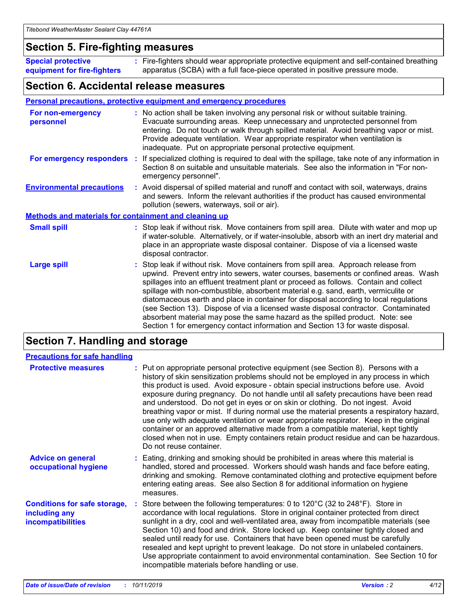### **Section 5. Fire-fighting measures**

**Special protective equipment for fire-fighters** Fire-fighters should wear appropriate protective equipment and self-contained breathing **:** apparatus (SCBA) with a full face-piece operated in positive pressure mode.

### **Section 6. Accidental release measures**

#### **Personal precautions, protective equipment and emergency procedures**

| For non-emergency<br>personnel                               | : No action shall be taken involving any personal risk or without suitable training.<br>Evacuate surrounding areas. Keep unnecessary and unprotected personnel from<br>entering. Do not touch or walk through spilled material. Avoid breathing vapor or mist.<br>Provide adequate ventilation. Wear appropriate respirator when ventilation is<br>inadequate. Put on appropriate personal protective equipment.                                                                                                                                                                                                                                                                                             |
|--------------------------------------------------------------|--------------------------------------------------------------------------------------------------------------------------------------------------------------------------------------------------------------------------------------------------------------------------------------------------------------------------------------------------------------------------------------------------------------------------------------------------------------------------------------------------------------------------------------------------------------------------------------------------------------------------------------------------------------------------------------------------------------|
| For emergency responders                                     | : If specialized clothing is required to deal with the spillage, take note of any information in<br>Section 8 on suitable and unsuitable materials. See also the information in "For non-<br>emergency personnel".                                                                                                                                                                                                                                                                                                                                                                                                                                                                                           |
| <b>Environmental precautions</b>                             | : Avoid dispersal of spilled material and runoff and contact with soil, waterways, drains<br>and sewers. Inform the relevant authorities if the product has caused environmental<br>pollution (sewers, waterways, soil or air).                                                                                                                                                                                                                                                                                                                                                                                                                                                                              |
| <b>Methods and materials for containment and cleaning up</b> |                                                                                                                                                                                                                                                                                                                                                                                                                                                                                                                                                                                                                                                                                                              |
| <b>Small spill</b>                                           | : Stop leak if without risk. Move containers from spill area. Dilute with water and mop up<br>if water-soluble. Alternatively, or if water-insoluble, absorb with an inert dry material and<br>place in an appropriate waste disposal container. Dispose of via a licensed waste<br>disposal contractor.                                                                                                                                                                                                                                                                                                                                                                                                     |
| <b>Large spill</b>                                           | : Stop leak if without risk. Move containers from spill area. Approach release from<br>upwind. Prevent entry into sewers, water courses, basements or confined areas. Wash<br>spillages into an effluent treatment plant or proceed as follows. Contain and collect<br>spillage with non-combustible, absorbent material e.g. sand, earth, vermiculite or<br>diatomaceous earth and place in container for disposal according to local regulations<br>(see Section 13). Dispose of via a licensed waste disposal contractor. Contaminated<br>absorbent material may pose the same hazard as the spilled product. Note: see<br>Section 1 for emergency contact information and Section 13 for waste disposal. |

### **Section 7. Handling and storage**

| <b>Precautions for safe handling</b>                                             |                                                                                                                                                                                                                                                                                                                                                                                                                                                                                                                                                                                                                                                                                                                                                                                                                                                  |
|----------------------------------------------------------------------------------|--------------------------------------------------------------------------------------------------------------------------------------------------------------------------------------------------------------------------------------------------------------------------------------------------------------------------------------------------------------------------------------------------------------------------------------------------------------------------------------------------------------------------------------------------------------------------------------------------------------------------------------------------------------------------------------------------------------------------------------------------------------------------------------------------------------------------------------------------|
| <b>Protective measures</b>                                                       | : Put on appropriate personal protective equipment (see Section 8). Persons with a<br>history of skin sensitization problems should not be employed in any process in which<br>this product is used. Avoid exposure - obtain special instructions before use. Avoid<br>exposure during pregnancy. Do not handle until all safety precautions have been read<br>and understood. Do not get in eyes or on skin or clothing. Do not ingest. Avoid<br>breathing vapor or mist. If during normal use the material presents a respiratory hazard,<br>use only with adequate ventilation or wear appropriate respirator. Keep in the original<br>container or an approved alternative made from a compatible material, kept tightly<br>closed when not in use. Empty containers retain product residue and can be hazardous.<br>Do not reuse container. |
| <b>Advice on general</b><br>occupational hygiene                                 | : Eating, drinking and smoking should be prohibited in areas where this material is<br>handled, stored and processed. Workers should wash hands and face before eating,<br>drinking and smoking. Remove contaminated clothing and protective equipment before<br>entering eating areas. See also Section 8 for additional information on hygiene<br>measures.                                                                                                                                                                                                                                                                                                                                                                                                                                                                                    |
| <b>Conditions for safe storage,</b><br>including any<br><b>incompatibilities</b> | Store between the following temperatures: 0 to $120^{\circ}$ C (32 to $248^{\circ}$ F). Store in<br>accordance with local regulations. Store in original container protected from direct<br>sunlight in a dry, cool and well-ventilated area, away from incompatible materials (see<br>Section 10) and food and drink. Store locked up. Keep container tightly closed and<br>sealed until ready for use. Containers that have been opened must be carefully<br>resealed and kept upright to prevent leakage. Do not store in unlabeled containers.<br>Use appropriate containment to avoid environmental contamination. See Section 10 for<br>incompatible materials before handling or use.                                                                                                                                                     |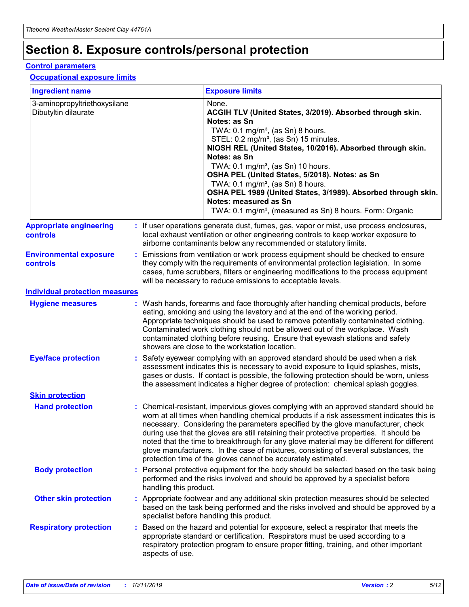## **Section 8. Exposure controls/personal protection**

#### **Control parameters**

#### **Occupational exposure limits**

| <b>Ingredient name</b>                               |    |                                          | <b>Exposure limits</b>                                                                                                                                                                                                                                                                                                                                                                                                                                                                                                                                                                                                 |
|------------------------------------------------------|----|------------------------------------------|------------------------------------------------------------------------------------------------------------------------------------------------------------------------------------------------------------------------------------------------------------------------------------------------------------------------------------------------------------------------------------------------------------------------------------------------------------------------------------------------------------------------------------------------------------------------------------------------------------------------|
| 3-aminopropyltriethoxysilane<br>Dibutyltin dilaurate |    |                                          | None.<br>ACGIH TLV (United States, 3/2019). Absorbed through skin.<br>Notes: as Sn<br>TWA: 0.1 mg/m <sup>3</sup> , (as Sn) 8 hours.<br>STEL: 0.2 mg/m <sup>3</sup> , (as Sn) 15 minutes.<br>NIOSH REL (United States, 10/2016). Absorbed through skin.<br>Notes: as Sn<br>TWA: 0.1 mg/m <sup>3</sup> , (as Sn) 10 hours.<br>OSHA PEL (United States, 5/2018). Notes: as Sn<br>TWA: $0.1 \text{ mg/m}^3$ , (as Sn) 8 hours.<br>OSHA PEL 1989 (United States, 3/1989). Absorbed through skin.<br>Notes: measured as Sn<br>TWA: 0.1 mg/m <sup>3</sup> , (measured as Sn) 8 hours. Form: Organic                           |
| <b>Appropriate engineering</b><br>controls           |    |                                          | : If user operations generate dust, fumes, gas, vapor or mist, use process enclosures,<br>local exhaust ventilation or other engineering controls to keep worker exposure to<br>airborne contaminants below any recommended or statutory limits.                                                                                                                                                                                                                                                                                                                                                                       |
| <b>Environmental exposure</b><br><b>controls</b>     |    |                                          | Emissions from ventilation or work process equipment should be checked to ensure<br>they comply with the requirements of environmental protection legislation. In some<br>cases, fume scrubbers, filters or engineering modifications to the process equipment<br>will be necessary to reduce emissions to acceptable levels.                                                                                                                                                                                                                                                                                          |
| <b>Individual protection measures</b>                |    |                                          |                                                                                                                                                                                                                                                                                                                                                                                                                                                                                                                                                                                                                        |
| <b>Hygiene measures</b>                              |    |                                          | : Wash hands, forearms and face thoroughly after handling chemical products, before<br>eating, smoking and using the lavatory and at the end of the working period.<br>Appropriate techniques should be used to remove potentially contaminated clothing.<br>Contaminated work clothing should not be allowed out of the workplace. Wash<br>contaminated clothing before reusing. Ensure that eyewash stations and safety<br>showers are close to the workstation location.                                                                                                                                            |
| <b>Eye/face protection</b>                           |    |                                          | : Safety eyewear complying with an approved standard should be used when a risk<br>assessment indicates this is necessary to avoid exposure to liquid splashes, mists,<br>gases or dusts. If contact is possible, the following protection should be worn, unless<br>the assessment indicates a higher degree of protection: chemical splash goggles.                                                                                                                                                                                                                                                                  |
| <b>Skin protection</b>                               |    |                                          |                                                                                                                                                                                                                                                                                                                                                                                                                                                                                                                                                                                                                        |
| <b>Hand protection</b>                               |    |                                          | : Chemical-resistant, impervious gloves complying with an approved standard should be<br>worn at all times when handling chemical products if a risk assessment indicates this is<br>necessary. Considering the parameters specified by the glove manufacturer, check<br>during use that the gloves are still retaining their protective properties. It should be<br>noted that the time to breakthrough for any glove material may be different for different<br>glove manufacturers. In the case of mixtures, consisting of several substances, the<br>protection time of the gloves cannot be accurately estimated. |
| <b>Body protection</b>                               |    | handling this product.                   | Personal protective equipment for the body should be selected based on the task being<br>performed and the risks involved and should be approved by a specialist before                                                                                                                                                                                                                                                                                                                                                                                                                                                |
| <b>Other skin protection</b>                         |    | specialist before handling this product. | : Appropriate footwear and any additional skin protection measures should be selected<br>based on the task being performed and the risks involved and should be approved by a                                                                                                                                                                                                                                                                                                                                                                                                                                          |
| <b>Respiratory protection</b>                        | ÷. | aspects of use.                          | Based on the hazard and potential for exposure, select a respirator that meets the<br>appropriate standard or certification. Respirators must be used according to a<br>respiratory protection program to ensure proper fitting, training, and other important                                                                                                                                                                                                                                                                                                                                                         |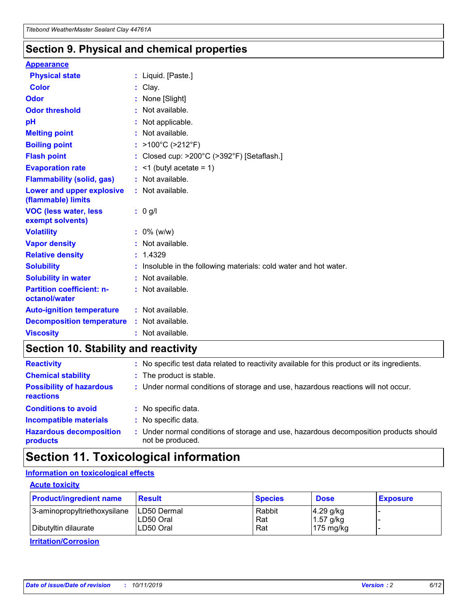### **Section 9. Physical and chemical properties**

#### **Appearance**

| <b>Physical state</b>                             | : Liquid. [Paste.]                                              |
|---------------------------------------------------|-----------------------------------------------------------------|
| Color                                             | Clay.                                                           |
| Odor                                              | : None [Slight]                                                 |
| <b>Odor threshold</b>                             | : Not available.                                                |
| рH                                                | : Not applicable.                                               |
| <b>Melting point</b>                              | : Not available.                                                |
| <b>Boiling point</b>                              | : >100°C (>212°F)                                               |
| <b>Flash point</b>                                | : Closed cup: >200°C (>392°F) [Setaflash.]                      |
| <b>Evaporation rate</b>                           | $:$ <1 (butyl acetate = 1)                                      |
| <b>Flammability (solid, gas)</b>                  | : Not available.                                                |
| Lower and upper explosive<br>(flammable) limits   | : Not available.                                                |
| <b>VOC (less water, less</b><br>exempt solvents)  | : 0 g/l                                                         |
| <b>Volatility</b>                                 | $: 0\%$ (w/w)                                                   |
| <b>Vapor density</b>                              | : Not available.                                                |
| <b>Relative density</b>                           | : 1.4329                                                        |
| <b>Solubility</b>                                 | Insoluble in the following materials: cold water and hot water. |
| <b>Solubility in water</b>                        | : Not available.                                                |
| <b>Partition coefficient: n-</b><br>octanol/water | $:$ Not available.                                              |
| <b>Auto-ignition temperature</b>                  | : Not available.                                                |
| <b>Decomposition temperature</b>                  | : Not available.                                                |
| <b>Viscosity</b>                                  |                                                                 |

### **Section 10. Stability and reactivity**

| <b>Reactivity</b>                            |    | : No specific test data related to reactivity available for this product or its ingredients.            |
|----------------------------------------------|----|---------------------------------------------------------------------------------------------------------|
| <b>Chemical stability</b>                    |    | : The product is stable.                                                                                |
| <b>Possibility of hazardous</b><br>reactions |    | : Under normal conditions of storage and use, hazardous reactions will not occur.                       |
| <b>Conditions to avoid</b>                   |    | : No specific data.                                                                                     |
| <b>Incompatible materials</b>                | ٠. | No specific data.                                                                                       |
| <b>Hazardous decomposition</b><br>products   | ÷. | Under normal conditions of storage and use, hazardous decomposition products should<br>not be produced. |

### **Section 11. Toxicological information**

### **Information on toxicological effects**

#### **Acute toxicity**

| <b>Product/ingredient name</b> | <b>Result</b>           | <b>Species</b> | <b>Dose</b>                | <b>Exposure</b> |
|--------------------------------|-------------------------|----------------|----------------------------|-----------------|
| 3-aminopropyltriethoxysilane   | <b>ILD50 Dermal</b>     | Rabbit         | 4.29 g/kg                  |                 |
| Dibutyltin dilaurate           | ILD50 Oral<br>LD50 Oral | Rat<br>Rat     | $1.57$ g/kg<br>175 $mg/kg$ |                 |
|                                |                         |                |                            |                 |

**Irritation/Corrosion**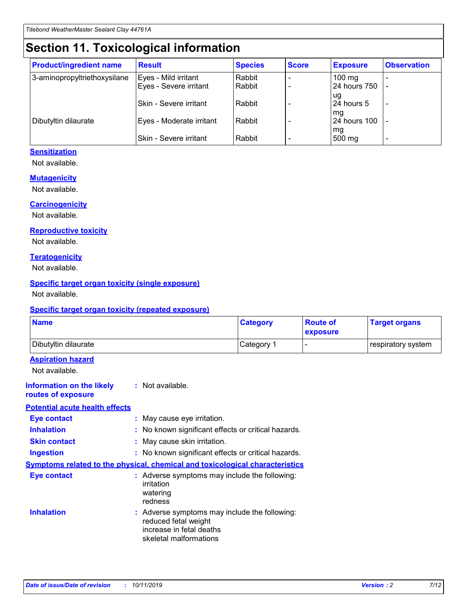## **Section 11. Toxicological information**

| <b>Product/ingredient name</b> | <b>Result</b>            | <b>Species</b> | <b>Score</b> | <b>Exposure</b>           | <b>Observation</b> |
|--------------------------------|--------------------------|----------------|--------------|---------------------------|--------------------|
| 3-aminopropyltriethoxysilane   | Eyes - Mild irritant     | Rabbit         |              | $100$ mg                  |                    |
|                                | Eyes - Severe irritant   | Rabbit         |              | 24 hours 750              |                    |
|                                |                          |                |              | ug                        |                    |
|                                | Skin - Severe irritant   | Rabbit         |              | 24 hours 5                | -                  |
| Dibutyltin dilaurate           | Eyes - Moderate irritant | Rabbit         |              | mq<br><b>24 hours 100</b> |                    |
|                                |                          |                |              | mg                        |                    |
|                                | Skin - Severe irritant   | Rabbit         |              | 500 mg                    |                    |

#### **Sensitization**

Not available.

#### **Mutagenicity**

Not available.

#### **Carcinogenicity**

Not available.

#### **Reproductive toxicity**

Not available.

#### **Teratogenicity**

Not available.

#### **Specific target organ toxicity (single exposure)**

Not available.

#### **Specific target organ toxicity (repeated exposure)**

| <b>Name</b>                                                                  |                                                                                                                             | <b>Category</b> | <b>Route of</b><br>exposure | <b>Target organs</b> |
|------------------------------------------------------------------------------|-----------------------------------------------------------------------------------------------------------------------------|-----------------|-----------------------------|----------------------|
| Dibutyltin dilaurate                                                         |                                                                                                                             | Category 1      |                             | respiratory system   |
| <b>Aspiration hazard</b><br>Not available.                                   |                                                                                                                             |                 |                             |                      |
| <b>Information on the likely</b><br>routes of exposure                       | : Not available.                                                                                                            |                 |                             |                      |
| <b>Potential acute health effects</b>                                        |                                                                                                                             |                 |                             |                      |
| <b>Eye contact</b>                                                           | : May cause eye irritation.                                                                                                 |                 |                             |                      |
| <b>Inhalation</b>                                                            | : No known significant effects or critical hazards.                                                                         |                 |                             |                      |
| <b>Skin contact</b>                                                          | : May cause skin irritation.                                                                                                |                 |                             |                      |
| <b>Ingestion</b>                                                             | : No known significant effects or critical hazards.                                                                         |                 |                             |                      |
| Symptoms related to the physical, chemical and toxicological characteristics |                                                                                                                             |                 |                             |                      |
| <b>Eye contact</b>                                                           | : Adverse symptoms may include the following:<br>irritation<br>watering<br>redness                                          |                 |                             |                      |
| <b>Inhalation</b>                                                            | : Adverse symptoms may include the following:<br>reduced fetal weight<br>increase in fetal deaths<br>skeletal malformations |                 |                             |                      |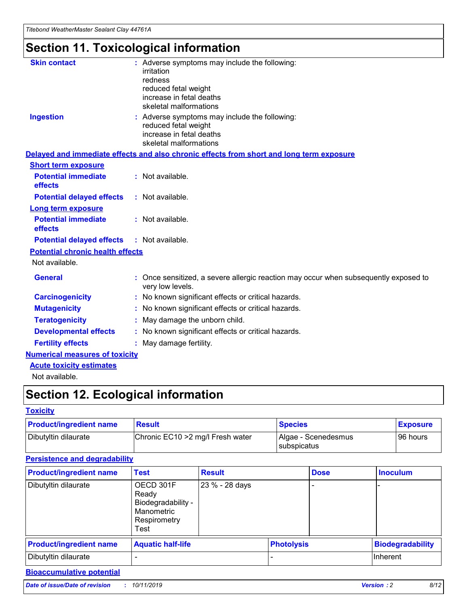# **Section 11. Toxicological information**

| <b>Skin contact</b>                     | : Adverse symptoms may include the following:<br>irritation<br>redness<br>reduced fetal weight<br>increase in fetal deaths<br>skeletal malformations |
|-----------------------------------------|------------------------------------------------------------------------------------------------------------------------------------------------------|
| <b>Ingestion</b>                        | : Adverse symptoms may include the following:<br>reduced fetal weight<br>increase in fetal deaths<br>skeletal malformations                          |
|                                         | Delayed and immediate effects and also chronic effects from short and long term exposure                                                             |
| <b>Short term exposure</b>              |                                                                                                                                                      |
| <b>Potential immediate</b><br>effects   | : Not available.                                                                                                                                     |
| <b>Potential delayed effects</b>        | : Not available.                                                                                                                                     |
| <b>Long term exposure</b>               |                                                                                                                                                      |
| <b>Potential immediate</b><br>effects   | : Not available.                                                                                                                                     |
| <b>Potential delayed effects</b>        | : Not available.                                                                                                                                     |
| <b>Potential chronic health effects</b> |                                                                                                                                                      |
| Not available.                          |                                                                                                                                                      |
| <b>General</b>                          | : Once sensitized, a severe allergic reaction may occur when subsequently exposed to<br>very low levels.                                             |
| <b>Carcinogenicity</b>                  | : No known significant effects or critical hazards.                                                                                                  |
| <b>Mutagenicity</b>                     | No known significant effects or critical hazards.                                                                                                    |
| <b>Teratogenicity</b>                   | May damage the unborn child.                                                                                                                         |
| <b>Developmental effects</b>            | : No known significant effects or critical hazards.                                                                                                  |
| <b>Fertility effects</b>                | : May damage fertility.                                                                                                                              |
| <b>Numerical measures of toxicity</b>   |                                                                                                                                                      |
| <b>Acute toxicity estimates</b>         |                                                                                                                                                      |
| .                                       |                                                                                                                                                      |

Not available.

## **Section 12. Ecological information**

#### **Toxicity**

| <b>Product/ingredient name</b> | <b>Result</b>                     | <b>Species</b>                            | <b>Exposure</b> |
|--------------------------------|-----------------------------------|-------------------------------------------|-----------------|
| Dibutyltin dilaurate           | Chronic EC10 > 2 mg/l Fresh water | Algae - Scenedesmus<br><b>Subspicatus</b> | l 96 hours      |

#### **Persistence and degradability**

| <b>Product/ingredient name</b> | Test                                                                           | <b>Result</b>  |                   | <b>Dose</b> | <b>Inoculum</b>         |
|--------------------------------|--------------------------------------------------------------------------------|----------------|-------------------|-------------|-------------------------|
| Dibutyltin dilaurate           | OECD 301F<br>Ready<br>Biodegradability -<br>Manometric<br>Respirometry<br>Test | 23 % - 28 days |                   |             |                         |
| <b>Product/ingredient name</b> | <b>Aquatic half-life</b>                                                       |                | <b>Photolysis</b> |             | <b>Biodegradability</b> |
| Dibutyltin dilaurate           |                                                                                |                |                   |             | Inherent                |

#### **Bioaccumulative potential**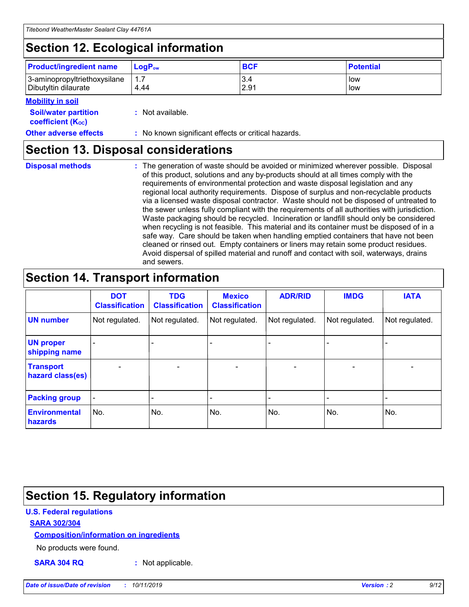## **Section 12. Ecological information**

| <b>Product/ingredient name</b>                       | ∣LoqP <sub>ow</sub> | <b>BCF</b>  | <b>Potential</b> |
|------------------------------------------------------|---------------------|-------------|------------------|
| 3-aminopropyltriethoxysilane<br>Dibutyltin dilaurate | 4.44                | 3.4<br>2.91 | low<br>low       |

#### **Mobility in soil**

| <i></i>                                                       |                                                     |
|---------------------------------------------------------------|-----------------------------------------------------|
| <b>Soil/water partition</b><br>coefficient (K <sub>oc</sub> ) | : Not available.                                    |
| <b>Other adverse effects</b>                                  | : No known significant effects or critical hazards. |

### **Section 13. Disposal considerations**

**Disposal methods :**

The generation of waste should be avoided or minimized wherever possible. Disposal of this product, solutions and any by-products should at all times comply with the requirements of environmental protection and waste disposal legislation and any regional local authority requirements. Dispose of surplus and non-recyclable products via a licensed waste disposal contractor. Waste should not be disposed of untreated to the sewer unless fully compliant with the requirements of all authorities with jurisdiction. Waste packaging should be recycled. Incineration or landfill should only be considered when recycling is not feasible. This material and its container must be disposed of in a safe way. Care should be taken when handling emptied containers that have not been cleaned or rinsed out. Empty containers or liners may retain some product residues. Avoid dispersal of spilled material and runoff and contact with soil, waterways, drains and sewers.

## **Section 14. Transport information**

|                                      | <b>DOT</b><br><b>Classification</b> | <b>TDG</b><br><b>Classification</b> | <b>Mexico</b><br><b>Classification</b> | <b>ADR/RID</b>           | <b>IMDG</b>              | <b>IATA</b>              |
|--------------------------------------|-------------------------------------|-------------------------------------|----------------------------------------|--------------------------|--------------------------|--------------------------|
| <b>UN number</b>                     | Not regulated.                      | Not regulated.                      | Not regulated.                         | Not regulated.           | Not regulated.           | Not regulated.           |
| <b>UN proper</b><br>shipping name    | $\qquad \qquad \blacksquare$        |                                     |                                        |                          |                          |                          |
| <b>Transport</b><br>hazard class(es) | $\blacksquare$                      | $\blacksquare$                      | $\blacksquare$                         | $\overline{\phantom{a}}$ | $\blacksquare$           | $\blacksquare$           |
| <b>Packing group</b>                 | $\overline{\phantom{a}}$            | $\overline{\phantom{0}}$            | $\qquad \qquad \blacksquare$           | -                        | $\overline{\phantom{0}}$ | $\overline{\phantom{a}}$ |
| <b>Environmental</b><br>hazards      | No.                                 | No.                                 | No.                                    | No.                      | No.                      | No.                      |

## **Section 15. Regulatory information**

#### **U.S. Federal regulations**

#### **SARA 302/304**

#### **Composition/information on ingredients**

No products were found.

**SARA 304 RQ :** Not applicable.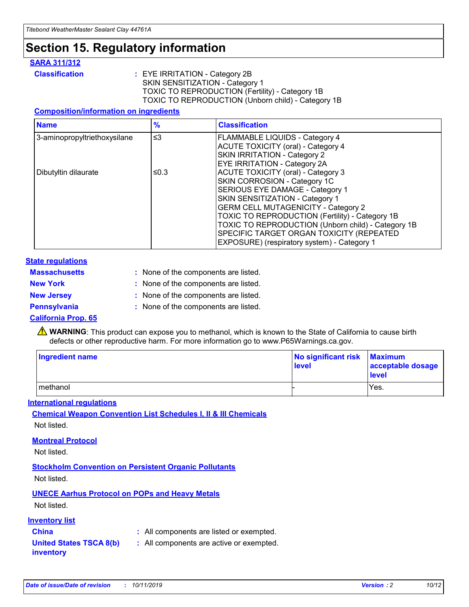### **Section 15. Regulatory information**

#### **SARA 311/312**

**Classification :** EYE IRRITATION - Category 2B SKIN SENSITIZATION - Category 1 TOXIC TO REPRODUCTION (Fertility) - Category 1B TOXIC TO REPRODUCTION (Unborn child) - Category 1B

#### **Composition/information on ingredients**

| <b>Name</b>                  | $\frac{9}{6}$ | <b>Classification</b>                                                                                            |
|------------------------------|---------------|------------------------------------------------------------------------------------------------------------------|
| 3-aminopropyltriethoxysilane | $\leq$ 3      | <b>FLAMMABLE LIQUIDS - Category 4</b><br><b>ACUTE TOXICITY (oral) - Category 4</b>                               |
|                              |               | SKIN IRRITATION - Category 2<br>EYE IRRITATION - Category 2A                                                     |
| Dibutyltin dilaurate         | ≤0.3          | ACUTE TOXICITY (oral) - Category 3<br>SKIN CORROSION - Category 1C                                               |
|                              |               | SERIOUS EYE DAMAGE - Category 1<br>SKIN SENSITIZATION - Category 1<br><b>GERM CELL MUTAGENICITY - Category 2</b> |
|                              |               | TOXIC TO REPRODUCTION (Fertility) - Category 1B<br>TOXIC TO REPRODUCTION (Unborn child) - Category 1B            |
|                              |               | SPECIFIC TARGET ORGAN TOXICITY (REPEATED<br>EXPOSURE) (respiratory system) - Category 1                          |

#### **State regulations**

| <b>Massachusetts</b> | : None of the components are listed. |
|----------------------|--------------------------------------|
| <b>New York</b>      | : None of the components are listed. |
| <b>New Jersey</b>    | : None of the components are listed. |
| <b>Pennsylvania</b>  | : None of the components are listed. |

#### **California Prop. 65**

**A** WARNING: This product can expose you to methanol, which is known to the State of California to cause birth defects or other reproductive harm. For more information go to www.P65Warnings.ca.gov.

| <b>Ingredient name</b> | No significant risk Maximum<br>level | acceptable dosage<br>level |
|------------------------|--------------------------------------|----------------------------|
| methanol               |                                      | Yes.                       |

#### **International regulations**

**Chemical Weapon Convention List Schedules I, II & III Chemicals** Not listed.

#### **Montreal Protocol**

Not listed.

**Stockholm Convention on Persistent Organic Pollutants**

Not listed.

### **UNECE Aarhus Protocol on POPs and Heavy Metals**

Not listed.

#### **Inventory list**

### **China :** All components are listed or exempted.

**United States TSCA 8(b) inventory :** All components are active or exempted.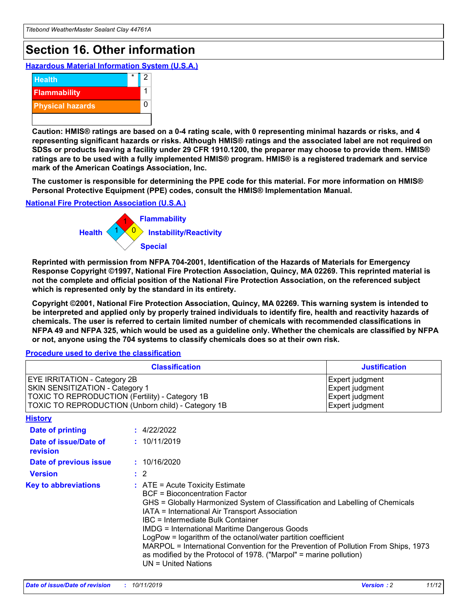## **Section 16. Other information**

**Hazardous Material Information System (U.S.A.)**



**Caution: HMIS® ratings are based on a 0-4 rating scale, with 0 representing minimal hazards or risks, and 4 representing significant hazards or risks. Although HMIS® ratings and the associated label are not required on SDSs or products leaving a facility under 29 CFR 1910.1200, the preparer may choose to provide them. HMIS® ratings are to be used with a fully implemented HMIS® program. HMIS® is a registered trademark and service mark of the American Coatings Association, Inc.**

**The customer is responsible for determining the PPE code for this material. For more information on HMIS® Personal Protective Equipment (PPE) codes, consult the HMIS® Implementation Manual.**

#### **National Fire Protection Association (U.S.A.)**



**Reprinted with permission from NFPA 704-2001, Identification of the Hazards of Materials for Emergency Response Copyright ©1997, National Fire Protection Association, Quincy, MA 02269. This reprinted material is not the complete and official position of the National Fire Protection Association, on the referenced subject which is represented only by the standard in its entirety.**

**Copyright ©2001, National Fire Protection Association, Quincy, MA 02269. This warning system is intended to be interpreted and applied only by properly trained individuals to identify fire, health and reactivity hazards of chemicals. The user is referred to certain limited number of chemicals with recommended classifications in NFPA 49 and NFPA 325, which would be used as a guideline only. Whether the chemicals are classified by NFPA or not, anyone using the 704 systems to classify chemicals does so at their own risk.**

#### **Procedure used to derive the classification**

| <b>Classification</b>                                                                                                                                                                  |                                                                                                                                                                                                                                                                   | <b>Justification</b>                                                                                                                                                                                                                                                                                       |  |
|----------------------------------------------------------------------------------------------------------------------------------------------------------------------------------------|-------------------------------------------------------------------------------------------------------------------------------------------------------------------------------------------------------------------------------------------------------------------|------------------------------------------------------------------------------------------------------------------------------------------------------------------------------------------------------------------------------------------------------------------------------------------------------------|--|
| <b>EYE IRRITATION - Category 2B</b><br>SKIN SENSITIZATION - Category 1<br><b>TOXIC TO REPRODUCTION (Fertility) - Category 1B</b><br>TOXIC TO REPRODUCTION (Unborn child) - Category 1B |                                                                                                                                                                                                                                                                   | Expert judgment<br>Expert judgment<br>Expert judgment<br>Expert judgment                                                                                                                                                                                                                                   |  |
| <b>History</b>                                                                                                                                                                         |                                                                                                                                                                                                                                                                   |                                                                                                                                                                                                                                                                                                            |  |
| <b>Date of printing</b>                                                                                                                                                                | : 4/22/2022                                                                                                                                                                                                                                                       |                                                                                                                                                                                                                                                                                                            |  |
| Date of issue/Date of<br>revision                                                                                                                                                      | : 10/11/2019                                                                                                                                                                                                                                                      |                                                                                                                                                                                                                                                                                                            |  |
| Date of previous issue                                                                                                                                                                 | : 10/16/2020                                                                                                                                                                                                                                                      |                                                                                                                                                                                                                                                                                                            |  |
| <b>Version</b>                                                                                                                                                                         | $\therefore$ 2                                                                                                                                                                                                                                                    |                                                                                                                                                                                                                                                                                                            |  |
| <b>Key to abbreviations</b>                                                                                                                                                            | $\therefore$ ATE = Acute Toxicity Estimate<br><b>BCF</b> = Bioconcentration Factor<br>IATA = International Air Transport Association<br><b>IBC</b> = Intermediate Bulk Container<br><b>IMDG = International Maritime Dangerous Goods</b><br>$UN = United Nations$ | GHS = Globally Harmonized System of Classification and Labelling of Chemicals<br>LogPow = logarithm of the octanol/water partition coefficient<br>MARPOL = International Convention for the Prevention of Pollution From Ships, 1973<br>as modified by the Protocol of 1978. ("Marpol" = marine pollution) |  |